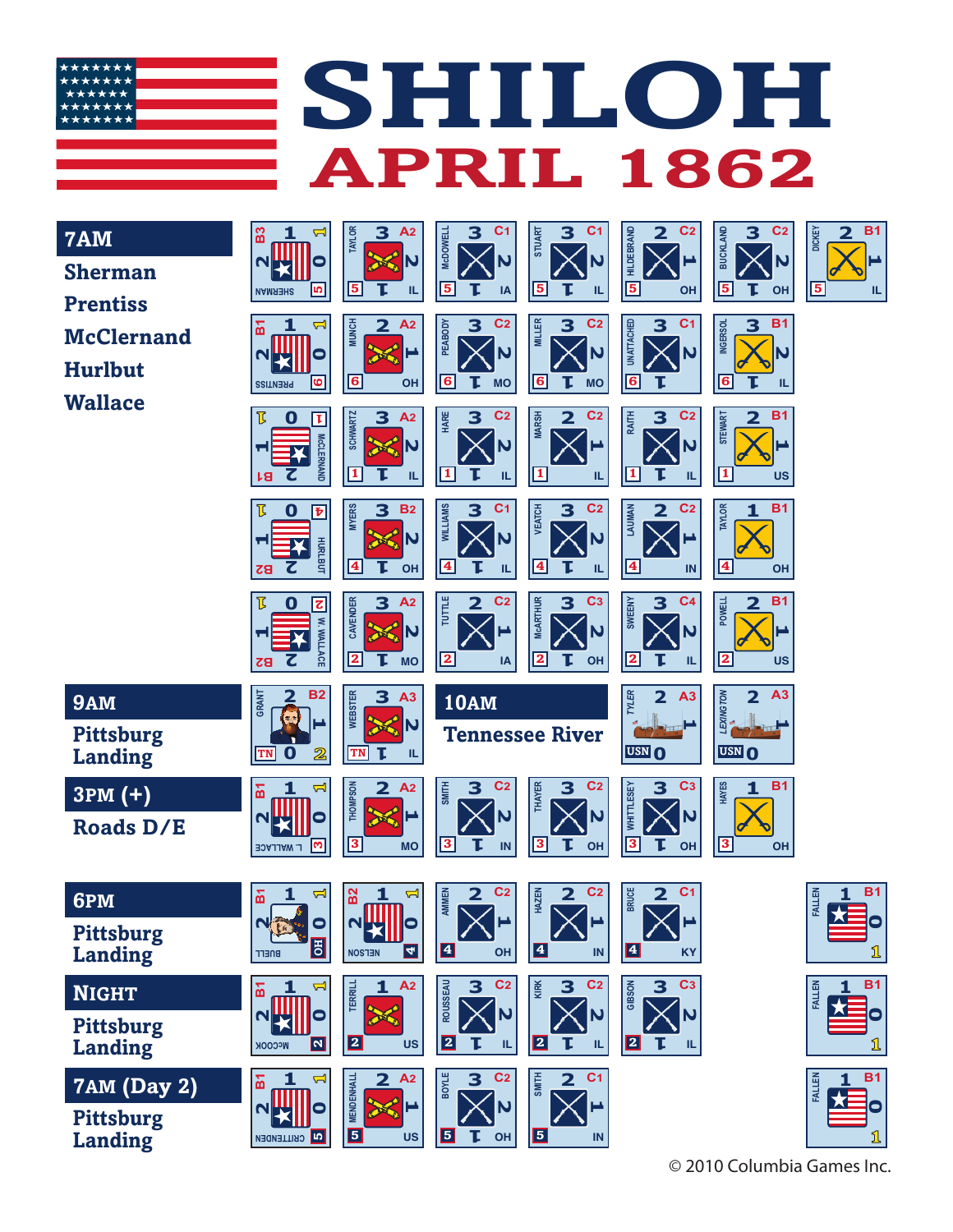

**7AM Sher Prentiss McC Hurll Wall** 

**7AM (Day 2)**

**Pittsburg Landing**

| <b>MA</b><br><b>Sherman</b><br>Prentiss<br><b>McClernand</b><br>Hurlbut<br><b><i>Nallace</i></b> | B <sub>3</sub><br>۳<br>0<br>N<br>S<br><b>SHERMAN</b><br><b>Z</b><br>៲៹<br>0<br>N<br>ဖ<br><b>PRENTISS</b><br>邒<br>O<br>τ<br><b>McCLERNAND</b><br>u.<br>ŀЯ<br>邒<br>O<br>$\overline{\mathbf{v}}$<br><b>HURLBUT</b><br>Z<br>83 | <b>TAYLOR</b><br>3<br>A <sub>2</sub><br><b>ARTIS</b><br>$\overline{\mathsf{N}}$<br>$\overline{\mathbf{5}}$<br>Т<br>IL.<br><b>MUNCH</b><br>$\overline{\mathbf{2}}$<br>A <sub>2</sub><br><b>Contraction</b><br>$\overline{\mathbf{6}}$<br><b>OH</b><br><b>SCHWARTZ</b><br>A <sub>2</sub><br>3<br><b>ARCHITECT</b><br>N)<br>$\mathbf{1}$<br>Т<br>IL.<br><b>MYERS</b><br>3<br><b>B2</b><br><b>ANGER</b><br>N)<br>$\overline{\mathbf{4}}$<br><b>OH</b> | <b>McDOWELL</b><br>3<br>C <sub>1</sub><br>N<br>$\sqrt{5}$<br>Т<br>IA<br>C <sub>2</sub><br>3<br><b>PEABODY</b><br>N<br>$\sqrt{6}$<br>П<br><b>MO</b><br>HARE<br>3<br>C <sub>2</sub><br>N<br>$\overline{\mathbf{1}}$<br>Щ<br><b>WILLIAMS</b><br>3<br>C <sub>1</sub><br>N<br>$\sqrt{4}$<br>IL | C <sub>1</sub><br>3<br><b>STUART</b><br>N<br>$\sqrt{5}$<br>IL.<br>C <sub>2</sub><br><b>MILLER</b><br>3<br>N<br>6<br><b>MO</b><br>C <sub>2</sub><br><b>MARSH</b><br>$\overline{\mathbf{2}}$<br>$\boxed{1}$<br>IL.<br>C <sub>2</sub><br><b>VEATCH</b><br>3<br>N<br> 4<br>IL. | <b>HILDEBRAND</b><br>C <sub>2</sub><br>$\overline{\mathbf{2}}$<br>$\sqrt{5}$<br>OH<br>C <sub>1</sub><br>3<br><b>UNATTACHED</b><br>6<br>C <sub>2</sub><br>RAITH<br>3<br>$\mathbf{1}$<br>IL.<br>C <sub>2</sub><br>LAUMAN<br>$\overline{\mathbf{2}}$<br>$\sqrt{4}$<br>IN | <b>BUCKLAND</b><br>C <sub>2</sub><br>3<br>N<br>$\overline{\mathbf{5}}$<br>OH<br><b>INGERSOL</b><br><b>B1</b><br>3<br>N<br>$\overline{\mathbf{6}}$<br>IL<br><b>B1</b><br><b>STEWART</b><br>$\overline{\mathbf{2}}$<br>ш<br>$\mathbf I$<br><b>US</b><br><b>TAYLOR</b><br><b>B1</b><br>1<br>$\overline{\mathbf{4}}$<br>OH | B <sub>1</sub><br>$\overline{\mathbf{2}}$<br>DICKEY<br>$\overline{\mathbf{5}}$<br>Щ |
|--------------------------------------------------------------------------------------------------|----------------------------------------------------------------------------------------------------------------------------------------------------------------------------------------------------------------------------|---------------------------------------------------------------------------------------------------------------------------------------------------------------------------------------------------------------------------------------------------------------------------------------------------------------------------------------------------------------------------------------------------------------------------------------------------|-------------------------------------------------------------------------------------------------------------------------------------------------------------------------------------------------------------------------------------------------------------------------------------------|----------------------------------------------------------------------------------------------------------------------------------------------------------------------------------------------------------------------------------------------------------------------------|-----------------------------------------------------------------------------------------------------------------------------------------------------------------------------------------------------------------------------------------------------------------------|------------------------------------------------------------------------------------------------------------------------------------------------------------------------------------------------------------------------------------------------------------------------------------------------------------------------|-------------------------------------------------------------------------------------|
|                                                                                                  | $\overline{\mathbf{z}}$<br>O<br>W. WALLACE<br>ùн.<br>7<br>$\overline{z}$                                                                                                                                                   | <b>CAVENDER</b><br>A <sub>2</sub><br>3<br><b>ARTISTS</b><br>N<br>$\overline{\mathbf{2}}$<br>Т<br><b>MO</b>                                                                                                                                                                                                                                                                                                                                        | TUTTLE<br>C <sub>2</sub><br>$\overline{\mathbf{2}}$<br>$\overline{\mathbf{2}}$<br>IA                                                                                                                                                                                                      | C <sub>3</sub><br><b>MCARTHUR</b><br>3<br>N<br> 2<br>OH                                                                                                                                                                                                                    | C <sub>4</sub><br><b>SWEENY</b><br>3<br> 2<br>IL                                                                                                                                                                                                                      | <b>B1</b><br><b>POWELL</b><br>2<br>–<br>$\overline{\mathbf{2}}$<br><b>US</b>                                                                                                                                                                                                                                           |                                                                                     |
| 9AM<br><b>Pittsburg</b><br><b>Landing</b>                                                        | <b>B2</b><br>GRANT<br>л<br>$\mathbf 0$<br>$\overline{\mathbb{Z}}$<br><b>TN</b>                                                                                                                                             | <b>WEBSTER</b><br>3<br>A3<br><b>AS N</b><br>τ<br><b>TN</b><br>IL.                                                                                                                                                                                                                                                                                                                                                                                 | <b>10AM</b><br><b>Tennessee River</b>                                                                                                                                                                                                                                                     |                                                                                                                                                                                                                                                                            | TYLER<br>$\overline{\mathbf{2}}$<br>A3<br><b>USN O</b>                                                                                                                                                                                                                | EXINGTON<br>A3<br>USN O                                                                                                                                                                                                                                                                                                |                                                                                     |
| $3PM (+)$<br><b>Roads D/E</b>                                                                    | 님<br>面<br>0<br>N<br>m<br><b>L. WALLACE</b>                                                                                                                                                                                 | <b>THOMPSON</b><br>$\overline{\mathbf{2}}$<br>A <sub>2</sub><br>$\overline{\mathbf{3}}$<br><b>MO</b>                                                                                                                                                                                                                                                                                                                                              | <b>SMITH</b><br>C <sub>2</sub><br>3<br>3<br>IN                                                                                                                                                                                                                                            | C <sub>2</sub><br><b>THAYER</b><br>3<br>N<br>$\sqrt{3}$<br>OH                                                                                                                                                                                                              | C <sub>3</sub><br>3<br>WHITTLESEY<br>$\overline{\mathbf{3}}$<br>τ<br>OH                                                                                                                                                                                               | <b>HAYES</b><br><b>B1</b><br>1<br>$\boxed{3}$<br><b>OH</b>                                                                                                                                                                                                                                                             |                                                                                     |
| 6PM<br><b>Pittsburg</b><br><b>Landing</b>                                                        | 님<br>៰<br>ı<br>NBO<br>$\bullet$<br>周<br><b>BUELL</b>                                                                                                                                                                       | B <sub>2</sub><br>1<br>님<br><b>NEXIL</b> O<br>$\mathbf{z}$<br><b>NOSTEN</b>                                                                                                                                                                                                                                                                                                                                                                       | AMMEN<br>C <sub>2</sub><br>$\overline{\mathbf{2}}$<br>$\sum$<br>0<br>OH                                                                                                                                                                                                                   | C <sub>2</sub><br>HAZEN<br>$\overline{\mathbf{2}}$<br>4<br>$\ensuremath{\mathsf{IN}}\xspace$                                                                                                                                                                               | <b>BRUCE</b><br>C <sub>1</sub><br>$\mathbf{2}^-$<br>$\boxtimes$<br>$\blacktriangleleft$<br><b>KY</b>                                                                                                                                                                  |                                                                                                                                                                                                                                                                                                                        | B <sub>1</sub><br><b>FALLEN</b><br><u>រ</u>                                         |
| <b>NIGHT</b><br><b>Pittsburg</b><br>Landing                                                      | $\overline{\mathbf{r}}$<br>인<br>0<br>N<br>$\overline{\mathbf{N}}$<br><b>McCOOK</b>                                                                                                                                         | 1 A2<br><b>TERRILL</b><br><b>Contraction</b><br>$\mathbf{z}$<br><b>US</b>                                                                                                                                                                                                                                                                                                                                                                         | <b>ROUSSEAU</b><br>C <sub>2</sub><br>3<br>$\overline{\mathsf{N}}$<br>$\overline{\mathbf{2}}$<br>Т<br>TL.                                                                                                                                                                                  | C <sub>2</sub><br>KIRK<br>3<br>N<br>$\overline{\mathbf{a}}$<br>τ<br>IL.                                                                                                                                                                                                    | C <sub>3</sub><br>GIBSON<br>3<br>N<br>$\mathbf{z}$<br>IL.                                                                                                                                                                                                             |                                                                                                                                                                                                                                                                                                                        | <b>B1</b><br><b>FALLEN</b><br>$\bullet$<br>1                                        |

**A2**

**C2**

**C1**

**1**

**5 IN**

**2**

**SMITH 2**

**3**

**1**

**5 OH**

**1**

**BOYLE**

**2**

**Carried** 

**5 US**

**MENDENHALL**

**MENDENHAL** 

**B1**

**2**

**CRITTENDEN** 

**0**

**1 <sup>1</sup>**



© 2010 Columbia Games Inc.